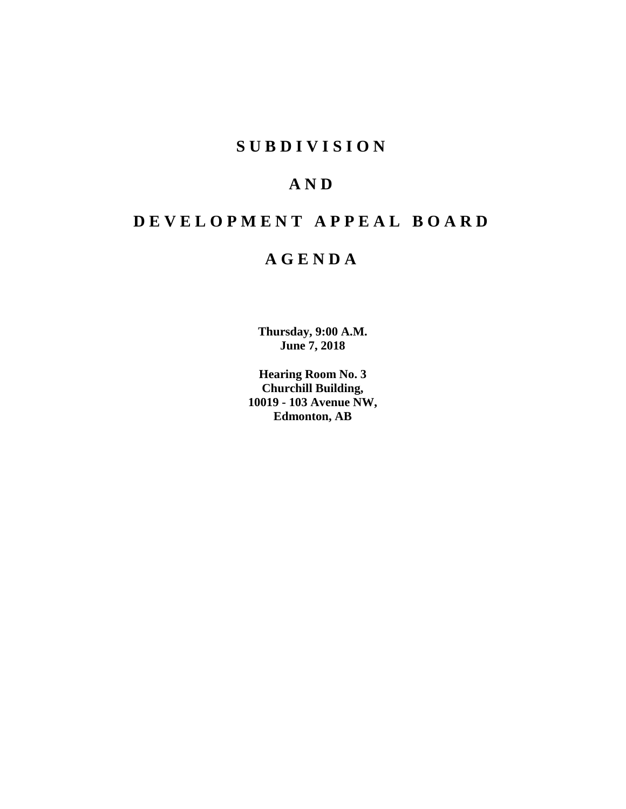# **S U B D I V I S I O N**

# **A N D**

# **D E V E L O P M E N T A P P E A L B O A R D**

# **A G E N D A**

**Thursday, 9:00 A.M. June 7, 2018**

**Hearing Room No. 3 Churchill Building, 10019 - 103 Avenue NW, Edmonton, AB**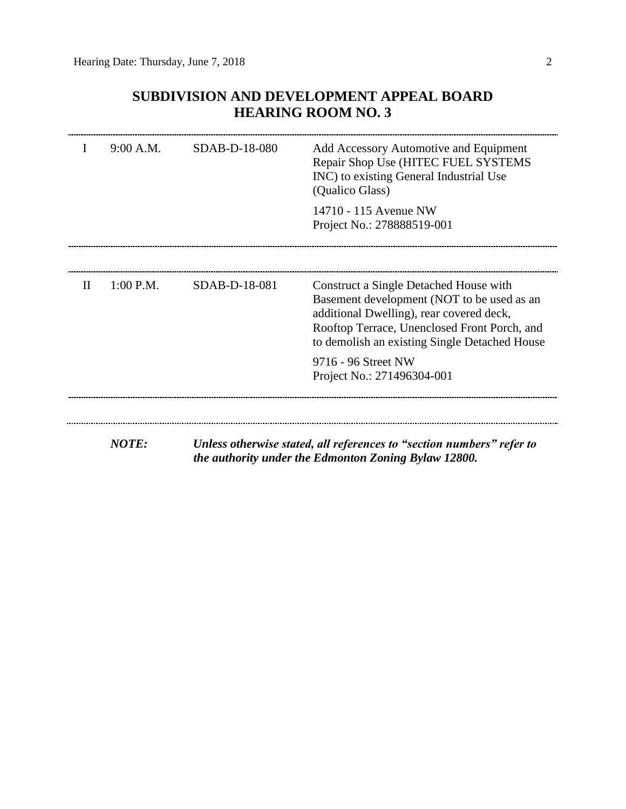# **SUBDIVISION AND DEVELOPMENT APPEAL BOARD HEARING ROOM NO. 3**

|              | 9:00 A.M.    | SDAB-D-18-080 | Add Accessory Automotive and Equipment<br>Repair Shop Use (HITEC FUEL SYSTEMS<br>INC) to existing General Industrial Use<br>(Qualico Glass)<br>14710 - 115 Avenue NW                                                              |  |
|--------------|--------------|---------------|-----------------------------------------------------------------------------------------------------------------------------------------------------------------------------------------------------------------------------------|--|
|              |              |               | Project No.: 278888519-001                                                                                                                                                                                                        |  |
| $\mathbf{I}$ | $1:00$ P.M.  | SDAB-D-18-081 | Construct a Single Detached House with<br>Basement development (NOT to be used as an<br>additional Dwelling), rear covered deck,<br>Rooftop Terrace, Unenclosed Front Porch, and<br>to demolish an existing Single Detached House |  |
|              |              |               | 9716 - 96 Street NW<br>Project No.: 271496304-001                                                                                                                                                                                 |  |
|              | <b>NOTE:</b> |               | Unless otherwise stated, all references to "section numbers" refer to<br>the authority under the Edmonton Zoning Bylaw 12800.                                                                                                     |  |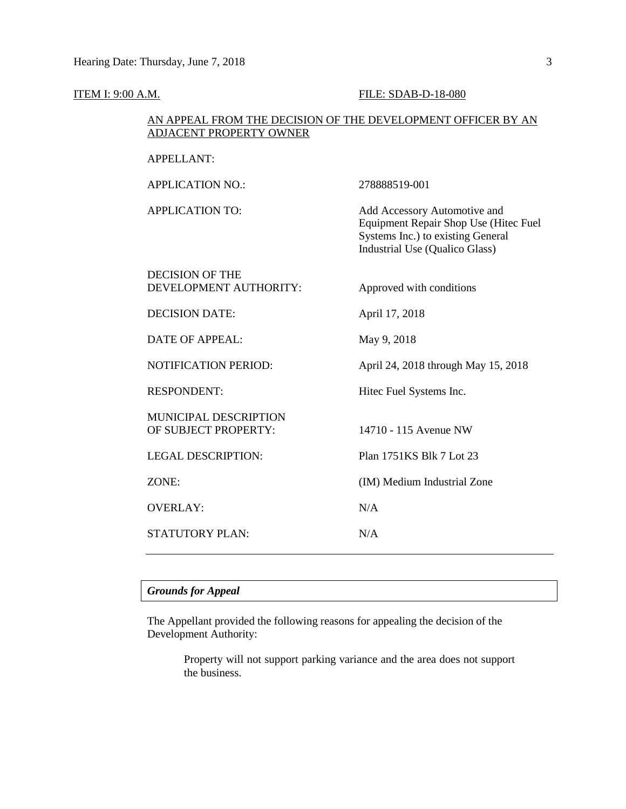APPELLANT:

# **ITEM I: 9:00 A.M. FILE: SDAB-D-18-080**

# AN APPEAL FROM THE DECISION OF THE DEVELOPMENT OFFICER BY AN ADJACENT PROPERTY OWNER

| <b>APPLICATION NO.:</b>                          | 278888519-001                                                                                                                                |
|--------------------------------------------------|----------------------------------------------------------------------------------------------------------------------------------------------|
| <b>APPLICATION TO:</b>                           | Add Accessory Automotive and<br>Equipment Repair Shop Use (Hitec Fuel<br>Systems Inc.) to existing General<br>Industrial Use (Qualico Glass) |
| <b>DECISION OF THE</b><br>DEVELOPMENT AUTHORITY: | Approved with conditions                                                                                                                     |
| <b>DECISION DATE:</b>                            | April 17, 2018                                                                                                                               |
| <b>DATE OF APPEAL:</b>                           | May 9, 2018                                                                                                                                  |
| <b>NOTIFICATION PERIOD:</b>                      | April 24, 2018 through May 15, 2018                                                                                                          |
| <b>RESPONDENT:</b>                               | Hitec Fuel Systems Inc.                                                                                                                      |
| MUNICIPAL DESCRIPTION<br>OF SUBJECT PROPERTY:    | 14710 - 115 Avenue NW                                                                                                                        |
| <b>LEGAL DESCRIPTION:</b>                        | Plan 1751KS Blk 7 Lot 23                                                                                                                     |
| ZONE:                                            | (IM) Medium Industrial Zone                                                                                                                  |
| <b>OVERLAY:</b>                                  | N/A                                                                                                                                          |
| STATUTORY PLAN:                                  | N/A                                                                                                                                          |

# *Grounds for Appeal*

The Appellant provided the following reasons for appealing the decision of the Development Authority:

> Property will not support parking variance and the area does not support the business.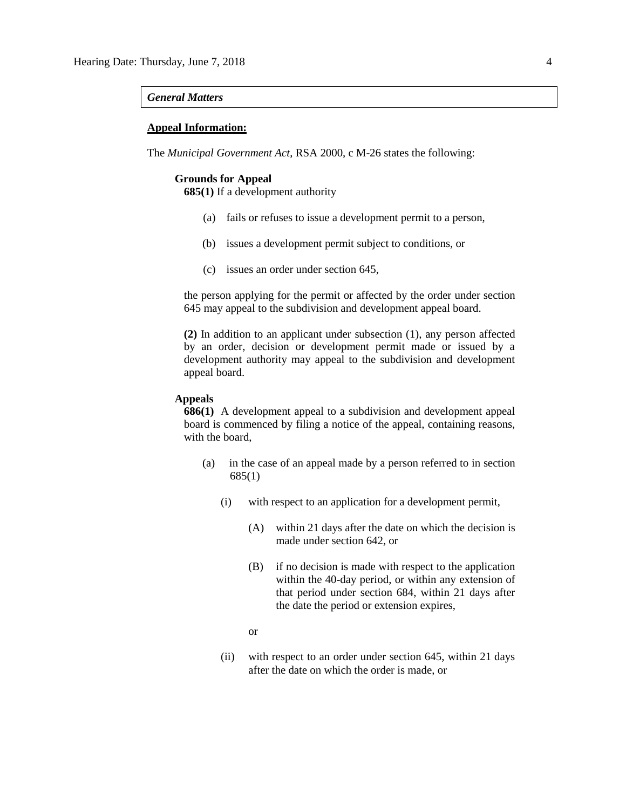# *General Matters*

# **Appeal Information:**

The *Municipal Government Act*, RSA 2000, c M-26 states the following:

# **Grounds for Appeal**

**685(1)** If a development authority

- (a) fails or refuses to issue a development permit to a person,
- (b) issues a development permit subject to conditions, or
- (c) issues an order under section 645,

the person applying for the permit or affected by the order under section 645 may appeal to the subdivision and development appeal board.

**(2)** In addition to an applicant under subsection (1), any person affected by an order, decision or development permit made or issued by a development authority may appeal to the subdivision and development appeal board.

# **Appeals**

**686(1)** A development appeal to a subdivision and development appeal board is commenced by filing a notice of the appeal, containing reasons, with the board,

- (a) in the case of an appeal made by a person referred to in section 685(1)
	- (i) with respect to an application for a development permit,
		- (A) within 21 days after the date on which the decision is made under section 642, or
		- (B) if no decision is made with respect to the application within the 40-day period, or within any extension of that period under section 684, within 21 days after the date the period or extension expires,
		- or
	- (ii) with respect to an order under section 645, within 21 days after the date on which the order is made, or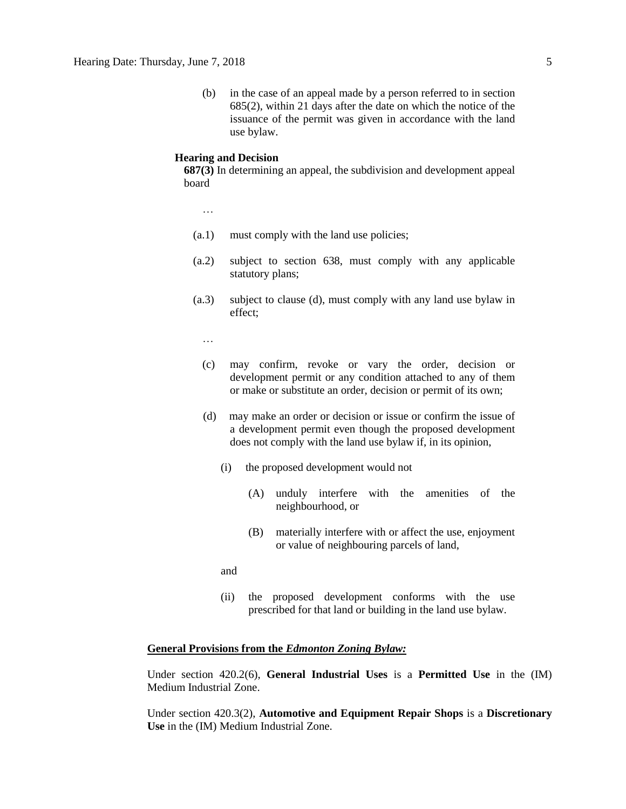(b) in the case of an appeal made by a person referred to in section 685(2), within 21 days after the date on which the notice of the issuance of the permit was given in accordance with the land use bylaw.

# **Hearing and Decision**

**687(3)** In determining an appeal, the subdivision and development appeal board

…

- (a.1) must comply with the land use policies;
- (a.2) subject to section 638, must comply with any applicable statutory plans;
- (a.3) subject to clause (d), must comply with any land use bylaw in effect;

…

- (c) may confirm, revoke or vary the order, decision or development permit or any condition attached to any of them or make or substitute an order, decision or permit of its own;
- (d) may make an order or decision or issue or confirm the issue of a development permit even though the proposed development does not comply with the land use bylaw if, in its opinion,
	- (i) the proposed development would not
		- (A) unduly interfere with the amenities of the neighbourhood, or
		- (B) materially interfere with or affect the use, enjoyment or value of neighbouring parcels of land,

and

(ii) the proposed development conforms with the use prescribed for that land or building in the land use bylaw.

# **General Provisions from the** *Edmonton Zoning Bylaw:*

Under section 420.2(6), **General Industrial Uses** is a **Permitted Use** in the (IM) Medium Industrial Zone.

Under section 420.3(2), **Automotive and Equipment Repair Shops** is a **Discretionary Use** in the (IM) Medium Industrial Zone.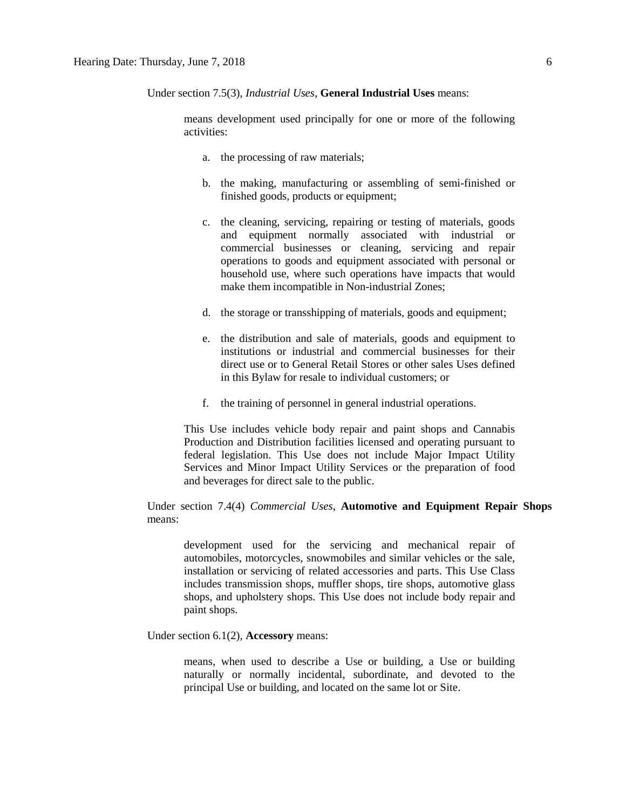Under section 7.5(3), *Industrial Uses*, **General Industrial Uses** means:

means development used principally for one or more of the following activities:

- a. the processing of raw materials;
- b. the making, manufacturing or assembling of semi-finished or finished goods, products or equipment;
- c. the cleaning, servicing, repairing or testing of materials, goods and equipment normally associated with industrial or commercial businesses or cleaning, servicing and repair operations to goods and equipment associated with personal or household use, where such operations have impacts that would make them incompatible in Non-industrial Zones;
- d. the storage or transshipping of materials, goods and equipment;
- e. the distribution and sale of materials, goods and equipment to institutions or industrial and commercial businesses for their direct use or to General Retail Stores or other sales Uses defined in this Bylaw for resale to individual customers; or
- f. the training of personnel in general industrial operations.

This Use includes vehicle body repair and paint shops and Cannabis Production and Distribution facilities licensed and operating pursuant to federal legislation. This Use does not include Major Impact Utility Services and Minor Impact Utility Services or the preparation of food and beverages for direct sale to the public.

Under section 7.4(4) *Commercial Uses*, **Automotive and Equipment Repair Shops** means:

development used for the servicing and mechanical repair of automobiles, motorcycles, snowmobiles and similar vehicles or the sale, installation or servicing of related accessories and parts. This Use Class includes transmission shops, muffler shops, tire shops, automotive glass shops, and upholstery shops. This Use does not include body repair and paint shops.

Under section 6.1(2), **Accessory** means:

means, when used to describe a Use or building, a Use or building naturally or normally incidental, subordinate, and devoted to the principal Use or building, and located on the same lot or Site.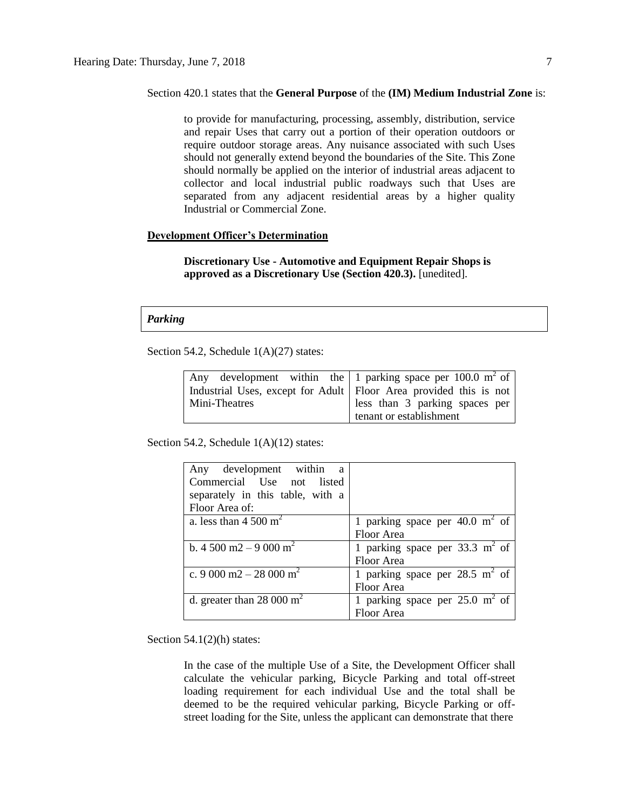### Section 420.1 states that the **General Purpose** of the **(IM) Medium Industrial Zone** is:

to provide for manufacturing, processing, assembly, distribution, service and repair Uses that carry out a portion of their operation outdoors or require outdoor storage areas. Any nuisance associated with such Uses should not generally extend beyond the boundaries of the Site. This Zone should normally be applied on the interior of industrial areas adjacent to collector and local industrial public roadways such that Uses are separated from any adjacent residential areas by a higher quality Industrial or Commercial Zone.

# **Development Officer's Determination**

**Discretionary Use - Automotive and Equipment Repair Shops is approved as a Discretionary Use (Section 420.3).** [unedited].

# *Parking*

Section 54.2, Schedule  $1(A)(27)$  states:

| Any development within the   1 parking space per 100.0 m <sup>2</sup> of |                                |  |  |  |
|--------------------------------------------------------------------------|--------------------------------|--|--|--|
| Industrial Uses, except for Adult   Floor Area provided this is not      |                                |  |  |  |
| Mini-Theatres                                                            | less than 3 parking spaces per |  |  |  |
|                                                                          | tenant or establishment        |  |  |  |

Section 54.2, Schedule 1(A)(12) states:

| Any development within<br><sub>a</sub>          |                                           |
|-------------------------------------------------|-------------------------------------------|
| Commercial Use not listed                       |                                           |
| separately in this table, with a                |                                           |
| Floor Area of:                                  |                                           |
| a. less than $4\,500 \text{ m}^2$               | 1 parking space per 40.0 $m2$ of          |
|                                                 | Floor Area                                |
| b. 4 500 m <sup>2</sup> – 9 000 m <sup>2</sup>  | 1 parking space per $33.3 \text{ m}^2$ of |
|                                                 | Floor Area                                |
| c. 9 000 m <sup>2</sup> – 28 000 m <sup>2</sup> | 1 parking space per $28.5 \text{ m}^2$ of |
|                                                 | Floor Area                                |
| d. greater than 28 000 $m2$                     | 1 parking space per $25.0 \text{ m}^2$ of |
|                                                 | Floor Area                                |

Section  $54.1(2)(h)$  states:

In the case of the multiple Use of a Site, the Development Officer shall calculate the vehicular parking, Bicycle Parking and total off-street loading requirement for each individual Use and the total shall be deemed to be the required vehicular parking, Bicycle Parking or offstreet loading for the Site, unless the applicant can demonstrate that there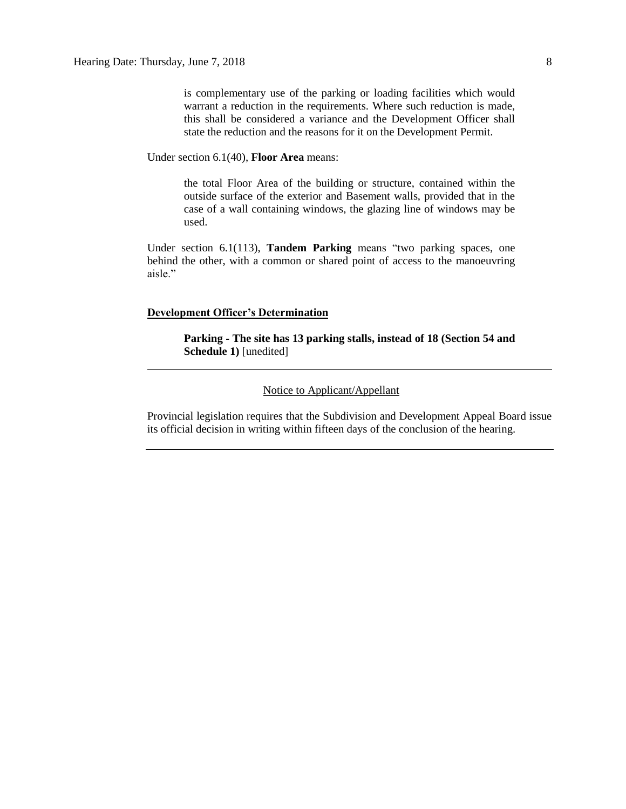is complementary use of the parking or loading facilities which would warrant a reduction in the requirements. Where such reduction is made, this shall be considered a variance and the Development Officer shall state the reduction and the reasons for it on the Development Permit.

Under section 6.1(40), **Floor Area** means:

the total Floor Area of the building or structure, contained within the outside surface of the exterior and Basement walls, provided that in the case of a wall containing windows, the glazing line of windows may be used.

Under section 6.1(113), **Tandem Parking** means "two parking spaces, one behind the other, with a common or shared point of access to the manoeuvring aisle."

### **Development Officer's Determination**

**Parking - The site has 13 parking stalls, instead of 18 (Section 54 and Schedule 1)** [unedited]

# Notice to Applicant/Appellant

Provincial legislation requires that the Subdivision and Development Appeal Board issue its official decision in writing within fifteen days of the conclusion of the hearing.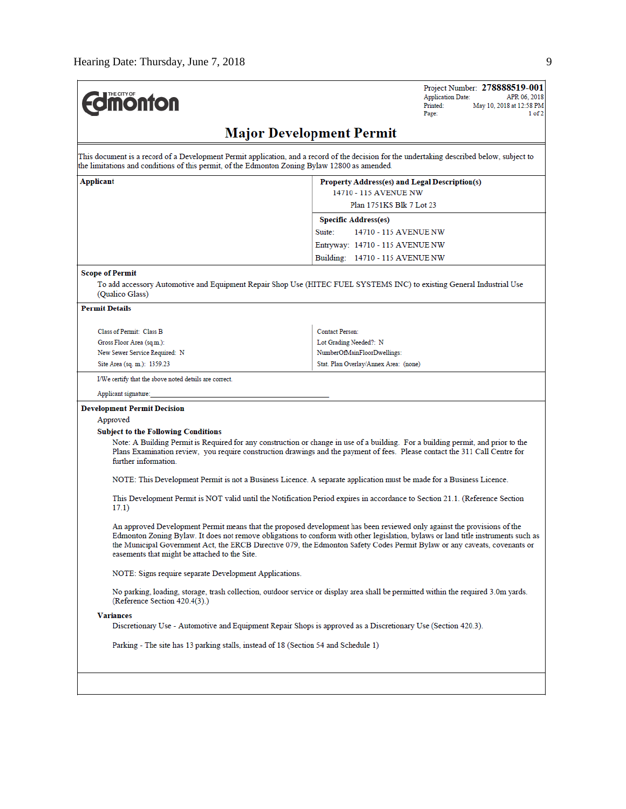| moni<br>I O I<br>וו |
|---------------------|
|---------------------|

Project Number: 278888519-001 APR 06, 2018 **Application Date:** Printed: May 10, 2018 at 12:58 PM Page:  $1 of 2$ 

# **Major Development Permit**

This document is a record of a Development Permit application, and a record of the decision for the undertaking described below, subject to the limitations and conditions of this permit, of the Edmonton Zoning Bylaw 12800 as amended.

| Applicant | <b>Property Address(es) and Legal Description(s)</b> |
|-----------|------------------------------------------------------|
|           | 14710 - 115 AVENUE NW                                |
|           | Plan 1751KS Blk 7 Lot 23                             |
|           | <b>Specific Address(es)</b>                          |
|           | 14710 - 115 AVENUE NW<br>Suite:                      |
|           | Entryway: 14710 - 115 AVENUE NW                      |
|           | Building: 14710 - 115 AVENUE NW                      |

### **Scope of Permit**

To add accessory Automotive and Equipment Repair Shop Use (HITEC FUEL SYSTEMS INC) to existing General Industrial Use (Qualico Glass)

### **Permit Details**

| Class of Permit: Class B      | <b>Contact Person:</b>                |
|-------------------------------|---------------------------------------|
| Gross Floor Area (sq.m.):     | Lot Grading Needed?: N                |
| New Sewer Service Required: N | NumberOfMainFloorDwellings:           |
| Site Area (sq. m.): 1359.23   | Stat. Plan Overlay/Annex Area: (none) |

I/We certify that the above noted details are correct.

Applicant signature:

# **Development Permit Decision**

Approved

### **Subject to the Following Conditions**

Note: A Building Permit is Required for any construction or change in use of a building. For a building permit, and prior to the Plans Examination review, you require construction drawings and the payment of fees. Please contact the 311 Call Centre for further information.

NOTE: This Development Permit is not a Business Licence. A separate application must be made for a Business Licence.

This Development Permit is NOT valid until the Notification Period expires in accordance to Section 21.1. (Reference Section  $17.1)$ 

An approved Development Permit means that the proposed development has been reviewed only against the provisions of the Edmonton Zoning Bylaw. It does not remove obligations to conform with other legislation, bylaws or land title instruments such as the Municipal Government Act, the ERCB Directive 079, the Edmonton Safety Codes Permit Bylaw or any caveats, covenants or easements that might be attached to the Site.

NOTE: Signs require separate Development Applications.

No parking, loading, storage, trash collection, outdoor service or display area shall be permitted within the required 3.0m yards. (Reference Section 420.4(3).)

#### **Variances**

Discretionary Use - Automotive and Equipment Repair Shops is approved as a Discretionary Use (Section 420.3).

Parking - The site has 13 parking stalls, instead of 18 (Section 54 and Schedule 1)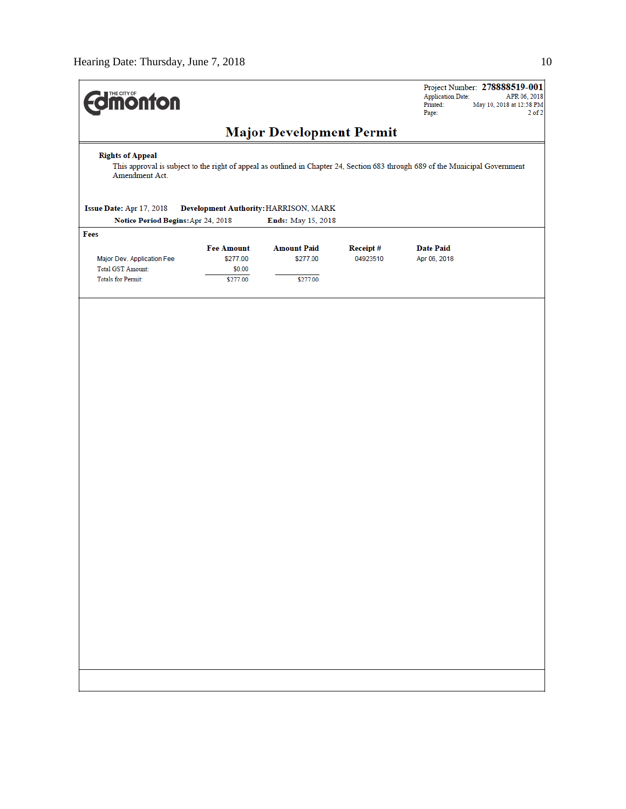| <b><i>Finson from Burgon</i></b>                                                                                                                                            | Project Number: 278888519-001<br><b>Application Date:</b><br>APR 06, 2018<br>Printed:<br>May 10, 2018 at 12:58 PM<br>Page:<br>$2$ of $2$ |  |  |  |  |  |
|-----------------------------------------------------------------------------------------------------------------------------------------------------------------------------|------------------------------------------------------------------------------------------------------------------------------------------|--|--|--|--|--|
| <b>Major Development Permit</b>                                                                                                                                             |                                                                                                                                          |  |  |  |  |  |
| <b>Rights of Appeal</b><br>This approval is subject to the right of appeal as outlined in Chapter 24, Section 683 through 689 of the Municipal Government<br>Amendment Act. |                                                                                                                                          |  |  |  |  |  |
| Issue Date: Apr 17, 2018<br>Development Authority: HARRISON, MARK<br>Notice Period Begins: Apr 24, 2018<br>Ends: May 15, 2018                                               |                                                                                                                                          |  |  |  |  |  |
| Fees                                                                                                                                                                        |                                                                                                                                          |  |  |  |  |  |
| <b>Fee Amount</b><br><b>Amount Paid</b><br>Receipt#                                                                                                                         | <b>Date Paid</b>                                                                                                                         |  |  |  |  |  |
| \$277.00<br>\$277.00<br>04923510<br>Major Dev. Application Fee                                                                                                              | Apr 06, 2018                                                                                                                             |  |  |  |  |  |
| Total GST Amount:<br>\$0.00<br><b>Totals for Permit:</b>                                                                                                                    |                                                                                                                                          |  |  |  |  |  |
| \$277.00<br>\$277.00                                                                                                                                                        |                                                                                                                                          |  |  |  |  |  |
|                                                                                                                                                                             |                                                                                                                                          |  |  |  |  |  |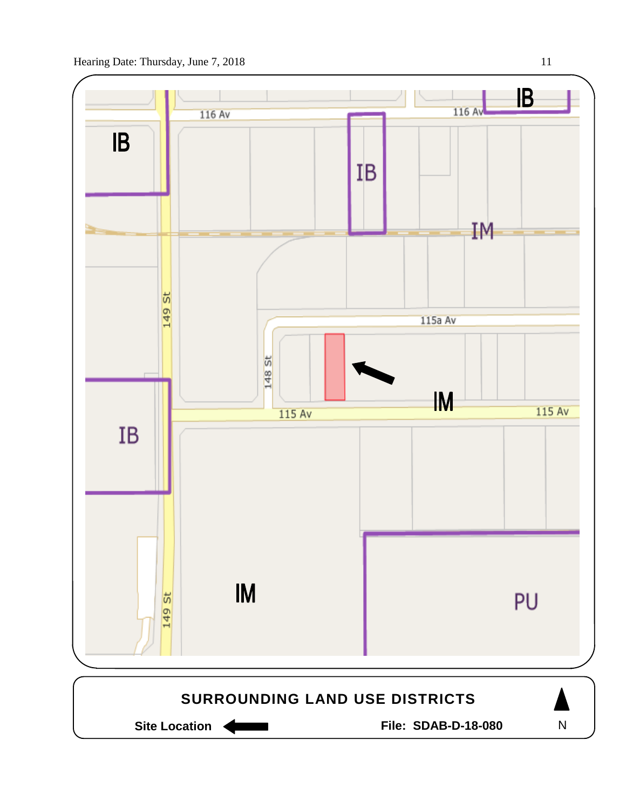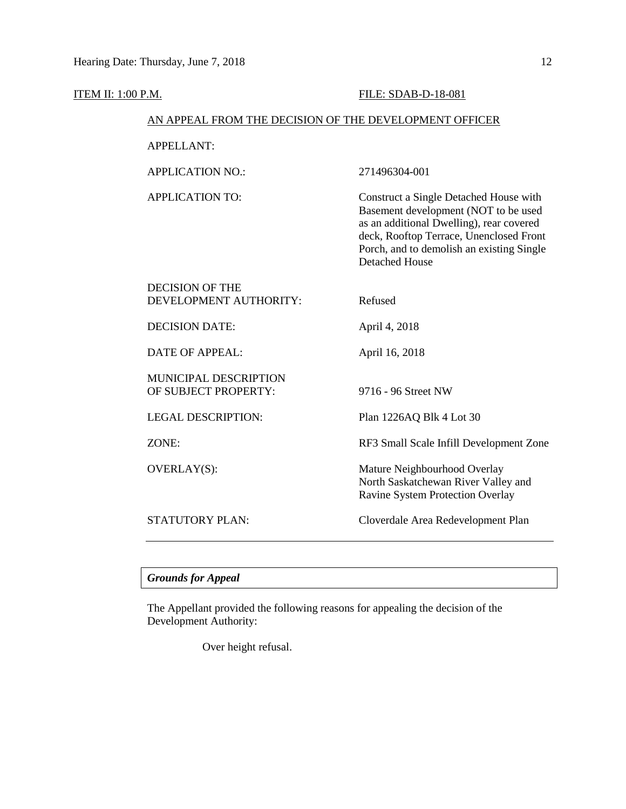# **ITEM II: 1:00 P.M. FILE: SDAB-D-18-081**

Detached House

# AN APPEAL FROM THE DECISION OF THE DEVELOPMENT OFFICER

APPELLANT:

APPLICATION NO.: 271496304-001

APPLICATION TO: Construct a Single Detached House with Basement development (NOT to be used as an additional Dwelling), rear covered deck, Rooftop Terrace, Unenclosed Front Porch, and to demolish an existing Single

| <b>DECISION OF THE</b><br>DEVELOPMENT AUTHORITY:     | Refused                                                                                                        |
|------------------------------------------------------|----------------------------------------------------------------------------------------------------------------|
| <b>DECISION DATE:</b>                                | April 4, 2018                                                                                                  |
| DATE OF APPEAL:                                      | April 16, 2018                                                                                                 |
| <b>MUNICIPAL DESCRIPTION</b><br>OF SUBJECT PROPERTY: | 9716 - 96 Street NW                                                                                            |
| <b>LEGAL DESCRIPTION:</b>                            | Plan 1226AQ Blk 4 Lot 30                                                                                       |
| ZONE:                                                | RF3 Small Scale Infill Development Zone                                                                        |
| OVERLAY(S):                                          | Mature Neighbourhood Overlay<br>North Saskatchewan River Valley and<br><b>Ravine System Protection Overlay</b> |
| STATUTORY PLAN:                                      | Cloverdale Area Redevelopment Plan                                                                             |

# *Grounds for Appeal*

The Appellant provided the following reasons for appealing the decision of the Development Authority:

Over height refusal.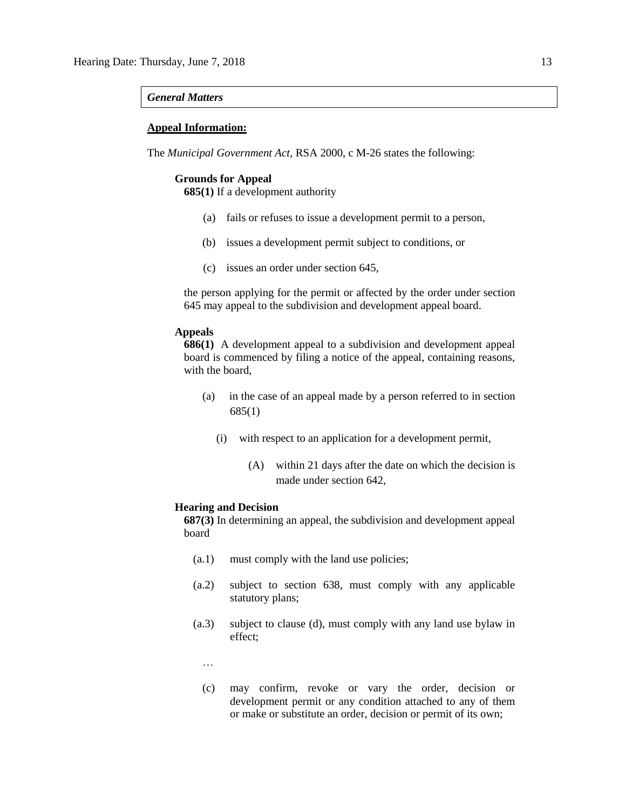# *General Matters*

# **Appeal Information:**

The *Municipal Government Act*, RSA 2000, c M-26 states the following:

# **Grounds for Appeal**

**685(1)** If a development authority

- (a) fails or refuses to issue a development permit to a person,
- (b) issues a development permit subject to conditions, or
- (c) issues an order under section 645,

the person applying for the permit or affected by the order under section 645 may appeal to the subdivision and development appeal board.

# **Appeals**

**686(1)** A development appeal to a subdivision and development appeal board is commenced by filing a notice of the appeal, containing reasons, with the board,

- (a) in the case of an appeal made by a person referred to in section 685(1)
	- (i) with respect to an application for a development permit,
		- (A) within 21 days after the date on which the decision is made under section 642,

### **Hearing and Decision**

**687(3)** In determining an appeal, the subdivision and development appeal board

- (a.1) must comply with the land use policies;
- (a.2) subject to section 638, must comply with any applicable statutory plans;
- (a.3) subject to clause (d), must comply with any land use bylaw in effect;
	- …
	- (c) may confirm, revoke or vary the order, decision or development permit or any condition attached to any of them or make or substitute an order, decision or permit of its own;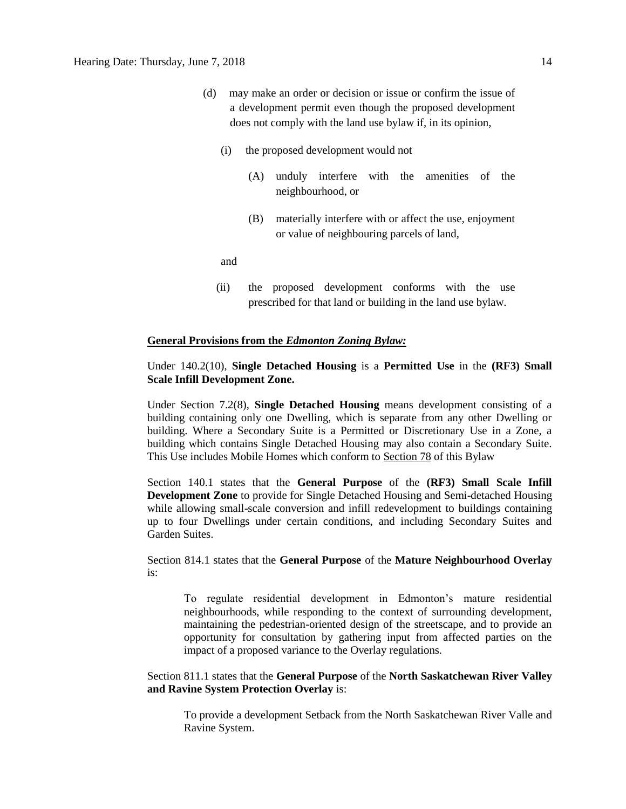- (d) may make an order or decision or issue or confirm the issue of a development permit even though the proposed development does not comply with the land use bylaw if, in its opinion,
	- (i) the proposed development would not
		- (A) unduly interfere with the amenities of the neighbourhood, or
		- (B) materially interfere with or affect the use, enjoyment or value of neighbouring parcels of land,

and

(ii) the proposed development conforms with the use prescribed for that land or building in the land use bylaw.

# **General Provisions from the** *Edmonton Zoning Bylaw:*

# Under 140.2(10), **Single Detached Housing** is a **Permitted Use** in the **(RF3) Small Scale Infill Development Zone.**

Under Section 7.2(8), **Single Detached Housing** means development consisting of a building containing only one Dwelling, which is separate from any other Dwelling or building. Where a Secondary Suite is a Permitted or Discretionary Use in a Zone, a building which contains Single Detached Housing may also contain a Secondary Suite. This Use includes Mobile Homes which conform to [Section 78](https://webdocs.edmonton.ca/InfraPlan/zoningbylaw/ZoningBylaw/Part1/Special_Land/78__Mobile_Homes.htm) of this Bylaw

Section 140.1 states that the **General Purpose** of the **(RF3) Small Scale Infill Development Zone** to provide for Single Detached Housing and Semi-detached Housing while allowing small-scale conversion and infill redevelopment to buildings containing up to four Dwellings under certain conditions, and including Secondary Suites and Garden Suites.

Section 814.1 states that the **General Purpose** of the **Mature Neighbourhood Overlay**  is:

To regulate residential development in Edmonton's mature residential neighbourhoods, while responding to the context of surrounding development, maintaining the pedestrian-oriented design of the streetscape, and to provide an opportunity for consultation by gathering input from affected parties on the impact of a proposed variance to the Overlay regulations.

# Section 811.1 states that the **General Purpose** of the **North Saskatchewan River Valley and Ravine System Protection Overlay** is:

To provide a development Setback from the North Saskatchewan River Valle and Ravine System.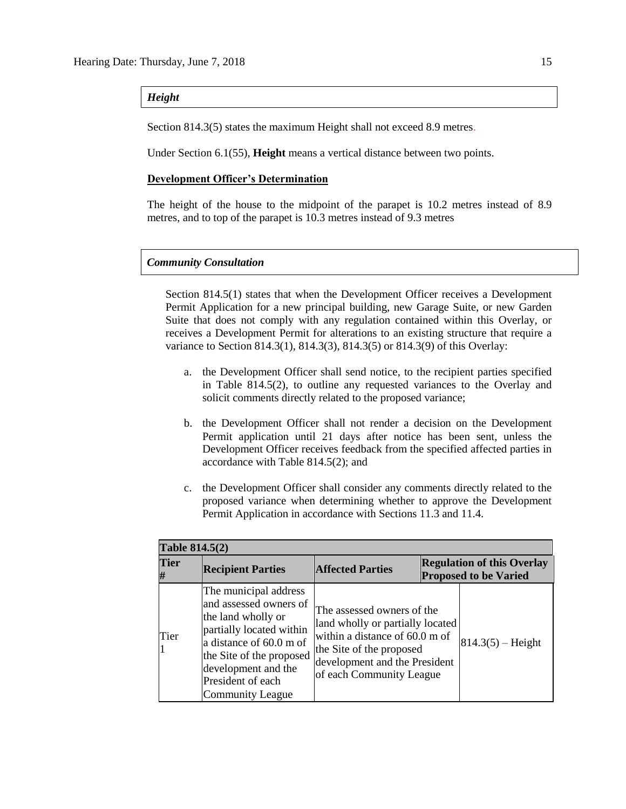*Height*

Section 814.3(5) states the maximum Height shall not exceed 8.9 metres.

Under Section 6.1(55), **Height** means a vertical distance between two points.

# **Development Officer's Determination**

The height of the house to the midpoint of the parapet is 10.2 metres instead of 8.9 metres, and to top of the parapet is 10.3 metres instead of 9.3 metres

# *Community Consultation*

Section 814.5(1) states that when the Development Officer receives a Development Permit Application for a new principal building, new Garage Suite, or new Garden Suite that does not comply with any regulation contained within this Overlay, or receives a Development Permit for alterations to an existing structure that require a variance to Section 814.3(1), 814.3(3), 814.3(5) or 814.3(9) of this Overlay:

- a. the Development Officer shall send notice, to the recipient parties specified in Table 814.5(2), to outline any requested variances to the Overlay and solicit comments directly related to the proposed variance;
- b. the Development Officer shall not render a decision on the Development Permit application until 21 days after notice has been sent, unless the Development Officer receives feedback from the specified affected parties in accordance with Table 814.5(2); and
- c. the Development Officer shall consider any comments directly related to the proposed variance when determining whether to approve the Development Permit Application in accordance with Sections 11.3 and 11.4.

| <b>Table 814.5(2)</b> |                                                                                                                                                                                                                                 |                                                                                                                                                                                           |  |                                                                   |  |  |
|-----------------------|---------------------------------------------------------------------------------------------------------------------------------------------------------------------------------------------------------------------------------|-------------------------------------------------------------------------------------------------------------------------------------------------------------------------------------------|--|-------------------------------------------------------------------|--|--|
| <b>Tier</b>           | <b>Recipient Parties</b>                                                                                                                                                                                                        | <b>Affected Parties</b>                                                                                                                                                                   |  | <b>Regulation of this Overlay</b><br><b>Proposed to be Varied</b> |  |  |
| Tier                  | The municipal address<br>and assessed owners of<br>the land wholly or<br>partially located within<br>a distance of 60.0 m of<br>the Site of the proposed<br>development and the<br>President of each<br><b>Community League</b> | The assessed owners of the<br>land wholly or partially located<br>within a distance of 60.0 m of<br>the Site of the proposed<br>development and the President<br>of each Community League |  | $814.3(5) - Height$                                               |  |  |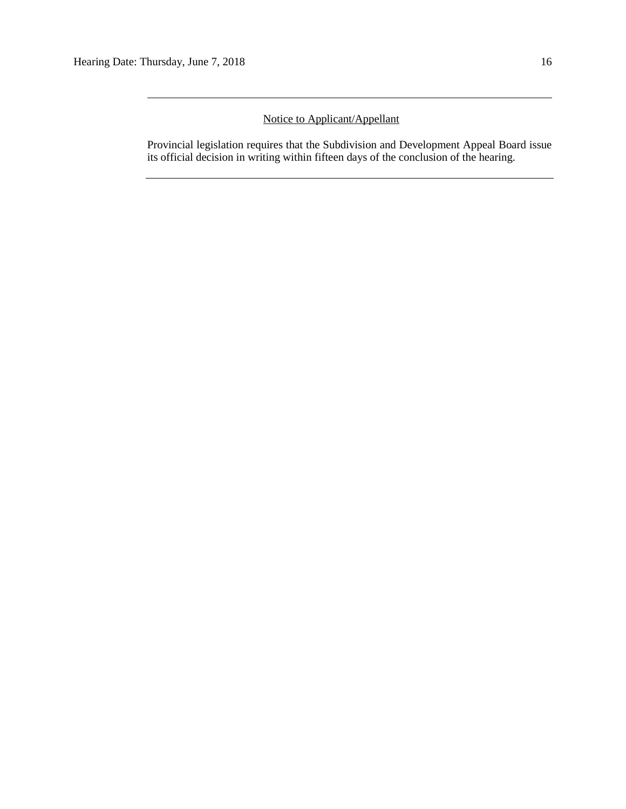# Notice to Applicant/Appellant

Provincial legislation requires that the Subdivision and Development Appeal Board issue its official decision in writing within fifteen days of the conclusion of the hearing.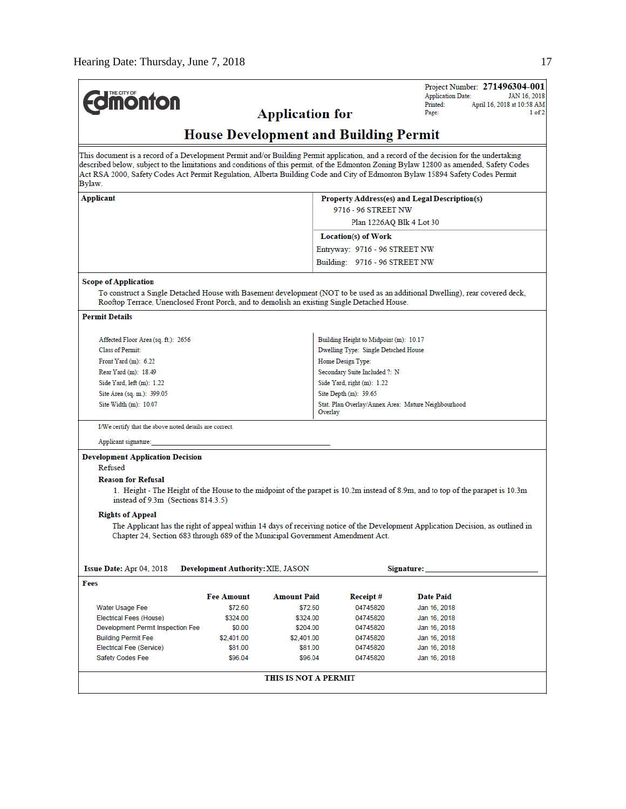| <b>Edmonton</b>                                                                                                                                                                                                                                                                                                                                                                                                            |                                          |                                               |                                                                | Project Number: 271496304-001<br><b>Application Date:</b><br>Printed: | JAN 16, 2018<br>April 16, 2018 at 10:58 AM |  |
|----------------------------------------------------------------------------------------------------------------------------------------------------------------------------------------------------------------------------------------------------------------------------------------------------------------------------------------------------------------------------------------------------------------------------|------------------------------------------|-----------------------------------------------|----------------------------------------------------------------|-----------------------------------------------------------------------|--------------------------------------------|--|
|                                                                                                                                                                                                                                                                                                                                                                                                                            |                                          | <b>Application for</b>                        |                                                                | Page:                                                                 | 1 of 2                                     |  |
|                                                                                                                                                                                                                                                                                                                                                                                                                            |                                          | <b>House Development and Building Permit</b>  |                                                                |                                                                       |                                            |  |
| This document is a record of a Development Permit and/or Building Permit application, and a record of the decision for the undertaking<br>described below, subject to the limitations and conditions of this permit, of the Edmonton Zoning Bylaw 12800 as amended, Safety Codes<br>Act RSA 2000, Safety Codes Act Permit Regulation, Alberta Building Code and City of Edmonton Bylaw 15894 Safety Codes Permit<br>Bylaw. |                                          |                                               |                                                                |                                                                       |                                            |  |
| Applicant                                                                                                                                                                                                                                                                                                                                                                                                                  |                                          | Property Address(es) and Legal Description(s) |                                                                |                                                                       |                                            |  |
|                                                                                                                                                                                                                                                                                                                                                                                                                            |                                          |                                               | 9716 - 96 STREET NW                                            |                                                                       |                                            |  |
|                                                                                                                                                                                                                                                                                                                                                                                                                            |                                          |                                               | Plan 1226AQ Blk 4 Lot 30                                       |                                                                       |                                            |  |
|                                                                                                                                                                                                                                                                                                                                                                                                                            |                                          |                                               | Location(s) of Work                                            |                                                                       |                                            |  |
|                                                                                                                                                                                                                                                                                                                                                                                                                            |                                          |                                               | Entryway: 9716 - 96 STREET NW                                  |                                                                       |                                            |  |
|                                                                                                                                                                                                                                                                                                                                                                                                                            |                                          |                                               | Building: 9716 - 96 STREET NW                                  |                                                                       |                                            |  |
| <b>Scope of Application</b>                                                                                                                                                                                                                                                                                                                                                                                                |                                          |                                               |                                                                |                                                                       |                                            |  |
| To construct a Single Detached House with Basement development (NOT to be used as an additional Dwelling), rear covered deck,<br>Rooftop Terrace, Unenclosed Front Porch, and to demolish an existing Single Detached House.                                                                                                                                                                                               |                                          |                                               |                                                                |                                                                       |                                            |  |
| <b>Permit Details</b>                                                                                                                                                                                                                                                                                                                                                                                                      |                                          |                                               |                                                                |                                                                       |                                            |  |
| Affected Floor Area (sq. ft.): 2656                                                                                                                                                                                                                                                                                                                                                                                        |                                          |                                               | Building Height to Midpoint (m): 10.17                         |                                                                       |                                            |  |
| Class of Permit:                                                                                                                                                                                                                                                                                                                                                                                                           |                                          |                                               | Dwelling Type: Single Detached House                           |                                                                       |                                            |  |
| Front Yard $(m)$ : 6.22                                                                                                                                                                                                                                                                                                                                                                                                    |                                          |                                               | Home Design Type:                                              |                                                                       |                                            |  |
| Rear Yard (m): 18.49                                                                                                                                                                                                                                                                                                                                                                                                       |                                          |                                               | Secondary Suite Included ?: N                                  |                                                                       |                                            |  |
| Side Yard, $left(m): 1.22$                                                                                                                                                                                                                                                                                                                                                                                                 |                                          |                                               | Side Yard, right (m): 1.22                                     |                                                                       |                                            |  |
| Site Area (sq. m.): 399.05                                                                                                                                                                                                                                                                                                                                                                                                 |                                          |                                               | Site Depth (m): 39.65                                          |                                                                       |                                            |  |
| Site Width $(m)$ : 10.07                                                                                                                                                                                                                                                                                                                                                                                                   |                                          |                                               | Stat. Plan Overlay/Annex Area: Mature Neighbourhood<br>Overlay |                                                                       |                                            |  |
| I/We certify that the above noted details are correct.                                                                                                                                                                                                                                                                                                                                                                     |                                          |                                               |                                                                |                                                                       |                                            |  |
| Applicant signature:                                                                                                                                                                                                                                                                                                                                                                                                       |                                          |                                               |                                                                |                                                                       |                                            |  |
| Development Application Decision                                                                                                                                                                                                                                                                                                                                                                                           |                                          |                                               |                                                                |                                                                       |                                            |  |
| Refused                                                                                                                                                                                                                                                                                                                                                                                                                    |                                          |                                               |                                                                |                                                                       |                                            |  |
| <b>Reason for Refusal</b><br>1. Height - The Height of the House to the midpoint of the parapet is 10.2m instead of 8.9m, and to top of the parapet is 10.3m<br>instead of $9.3m$ (Sections $814.3.5$ )                                                                                                                                                                                                                    |                                          |                                               |                                                                |                                                                       |                                            |  |
| <b>Rights of Appeal</b><br>The Applicant has the right of appeal within 14 days of receiving notice of the Development Application Decision, as outlined in<br>Chapter 24, Section 683 through 689 of the Municipal Government Amendment Act.                                                                                                                                                                              |                                          |                                               |                                                                |                                                                       |                                            |  |
|                                                                                                                                                                                                                                                                                                                                                                                                                            |                                          |                                               |                                                                |                                                                       |                                            |  |
| Issue Date: Apr 04, 2018<br>Fees                                                                                                                                                                                                                                                                                                                                                                                           | <b>Development Authority: XIE, JASON</b> |                                               |                                                                | Signature:                                                            |                                            |  |
|                                                                                                                                                                                                                                                                                                                                                                                                                            | <b>Fee Amount</b>                        | <b>Amount Paid</b>                            | Receipt#                                                       | Date Paid                                                             |                                            |  |
| Water Usage Fee                                                                                                                                                                                                                                                                                                                                                                                                            | \$72.60                                  | \$72.60                                       | 04745820                                                       | Jan 16, 2018                                                          |                                            |  |
| Electrical Fees (House)                                                                                                                                                                                                                                                                                                                                                                                                    | \$324.00                                 | \$324.00                                      | 04745820                                                       | Jan 16, 2018                                                          |                                            |  |
| Development Permit Inspection Fee                                                                                                                                                                                                                                                                                                                                                                                          | \$0.00                                   | \$204.00                                      | 04745820                                                       | Jan 16, 2018                                                          |                                            |  |
| <b>Building Permit Fee</b>                                                                                                                                                                                                                                                                                                                                                                                                 | \$2,401.00                               | \$2,401.00                                    | 04745820                                                       | Jan 16, 2018                                                          |                                            |  |
| Electrical Fee (Service)                                                                                                                                                                                                                                                                                                                                                                                                   | \$81.00                                  | \$81.00                                       | 04745820                                                       | Jan 16, 2018                                                          |                                            |  |
|                                                                                                                                                                                                                                                                                                                                                                                                                            |                                          |                                               |                                                                |                                                                       |                                            |  |
| Safety Codes Fee                                                                                                                                                                                                                                                                                                                                                                                                           | \$96.04                                  | \$96.04                                       | 04745820                                                       | Jan 16, 2018                                                          |                                            |  |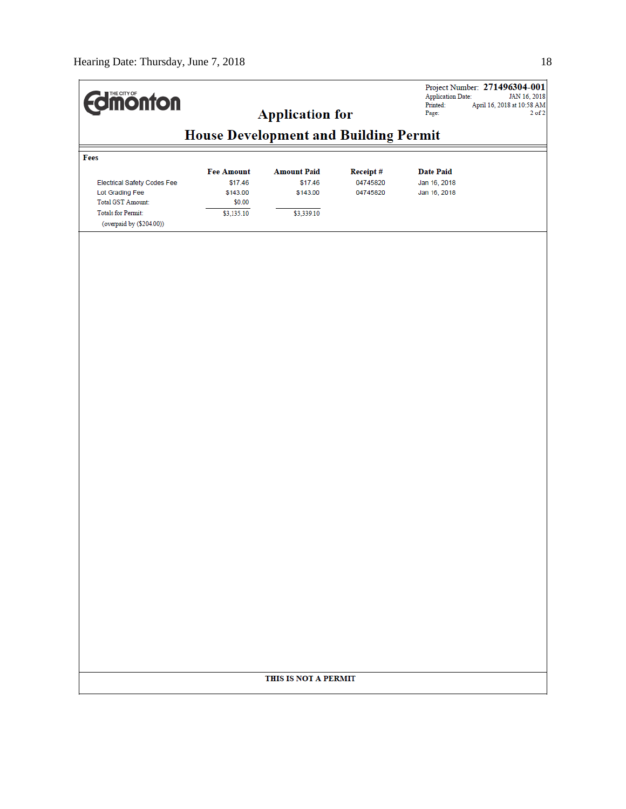| <b>dimonton</b>                             | <b>Application for</b><br><b>House Development and Building Permit</b> |                      |          | Project Number: 271496304-001<br><b>Application Date:</b><br>JAN 16, 2018<br>Printed:<br>April 16, 2018 at 10:58 AM<br>$2$ of $2$<br>Page: |  |  |
|---------------------------------------------|------------------------------------------------------------------------|----------------------|----------|--------------------------------------------------------------------------------------------------------------------------------------------|--|--|
|                                             |                                                                        |                      |          |                                                                                                                                            |  |  |
| Fees                                        |                                                                        |                      |          |                                                                                                                                            |  |  |
|                                             | <b>Fee Amount</b>                                                      | <b>Amount Paid</b>   | Receipt# | <b>Date Paid</b>                                                                                                                           |  |  |
| Electrical Safety Codes Fee                 | \$17.46                                                                | \$17.46              | 04745820 | Jan 16, 2018                                                                                                                               |  |  |
| Lot Grading Fee<br><b>Total GST Amount:</b> | \$143.00<br>\$0.00                                                     | \$143.00             | 04745820 | Jan 16, 2018                                                                                                                               |  |  |
| <b>Totals for Permit:</b>                   | \$3,135.10                                                             | \$3,339.10           |          |                                                                                                                                            |  |  |
| (overpaid by (\$204.00))                    |                                                                        |                      |          |                                                                                                                                            |  |  |
|                                             |                                                                        |                      |          |                                                                                                                                            |  |  |
|                                             |                                                                        |                      |          |                                                                                                                                            |  |  |
|                                             |                                                                        |                      |          |                                                                                                                                            |  |  |
|                                             |                                                                        |                      |          |                                                                                                                                            |  |  |
|                                             |                                                                        |                      |          |                                                                                                                                            |  |  |
|                                             |                                                                        |                      |          |                                                                                                                                            |  |  |
|                                             |                                                                        |                      |          |                                                                                                                                            |  |  |
|                                             |                                                                        |                      |          |                                                                                                                                            |  |  |
|                                             |                                                                        |                      |          |                                                                                                                                            |  |  |
|                                             |                                                                        |                      |          |                                                                                                                                            |  |  |
|                                             |                                                                        |                      |          |                                                                                                                                            |  |  |
|                                             |                                                                        |                      |          |                                                                                                                                            |  |  |
|                                             |                                                                        |                      |          |                                                                                                                                            |  |  |
|                                             |                                                                        |                      |          |                                                                                                                                            |  |  |
|                                             |                                                                        |                      |          |                                                                                                                                            |  |  |
|                                             |                                                                        |                      |          |                                                                                                                                            |  |  |
|                                             |                                                                        |                      |          |                                                                                                                                            |  |  |
|                                             |                                                                        |                      |          |                                                                                                                                            |  |  |
|                                             |                                                                        |                      |          |                                                                                                                                            |  |  |
|                                             |                                                                        |                      |          |                                                                                                                                            |  |  |
|                                             |                                                                        |                      |          |                                                                                                                                            |  |  |
|                                             |                                                                        |                      |          |                                                                                                                                            |  |  |
|                                             |                                                                        |                      |          |                                                                                                                                            |  |  |
|                                             |                                                                        |                      |          |                                                                                                                                            |  |  |
|                                             |                                                                        |                      |          |                                                                                                                                            |  |  |
|                                             |                                                                        |                      |          |                                                                                                                                            |  |  |
|                                             |                                                                        |                      |          |                                                                                                                                            |  |  |
|                                             |                                                                        |                      |          |                                                                                                                                            |  |  |
|                                             |                                                                        |                      |          |                                                                                                                                            |  |  |
|                                             |                                                                        |                      |          |                                                                                                                                            |  |  |
|                                             |                                                                        |                      |          |                                                                                                                                            |  |  |
|                                             |                                                                        |                      |          |                                                                                                                                            |  |  |
|                                             |                                                                        |                      |          |                                                                                                                                            |  |  |
|                                             |                                                                        | THIS IS NOT A PERMIT |          |                                                                                                                                            |  |  |
|                                             |                                                                        |                      |          |                                                                                                                                            |  |  |